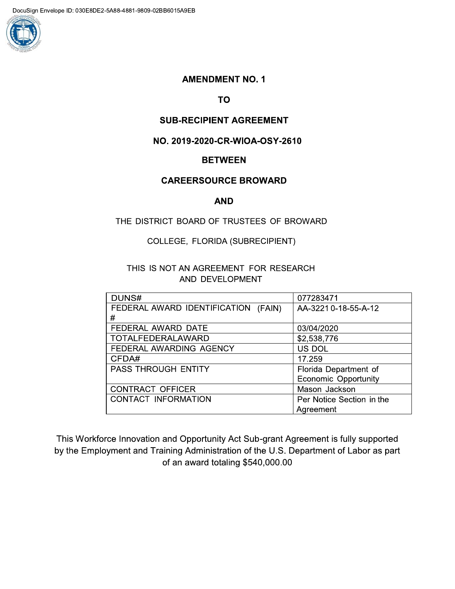

# **AMENDMENT NO. 1**

**TO** 

# **SUB-RECIPIENT AGREEMENT**

# NO. 2019-2020-CR-WIOA-OSY-2610

### **BETWEEN**

# **CAREERSOURCE BROWARD**

#### **AND**

# THE DISTRICT BOARD OF TRUSTEES OF BROWARD

#### COLLEGE, FLORIDA (SUBRECIPIENT)

# THIS IS NOT AN AGREEMENT FOR RESEARCH AND DEVELOPMENT

| DUNS#                                  | 077283471                   |
|----------------------------------------|-----------------------------|
| FEDERAL AWARD IDENTIFICATION<br>(FAIN) | AA-3221 0-18-55-A-12        |
| #                                      |                             |
| FEDERAL AWARD DATE                     | 03/04/2020                  |
| <b>TOTALFEDERALAWARD</b>               | \$2,538,776                 |
| FEDERAL AWARDING AGENCY                | US DOL                      |
| CFDA#                                  | 17.259                      |
| <b>PASS THROUGH ENTITY</b>             | Florida Department of       |
|                                        | <b>Economic Opportunity</b> |
| <b>CONTRACT OFFICER</b>                | Mason Jackson               |
| <b>CONTACT INFORMATION</b>             | Per Notice Section in the   |
|                                        | Agreement                   |

This Workforce Innovation and Opportunity Act Sub-grant Agreement is fully supported by the Employment and Training Administration of the U.S. Department of Labor as part of an award totaling \$540,000.00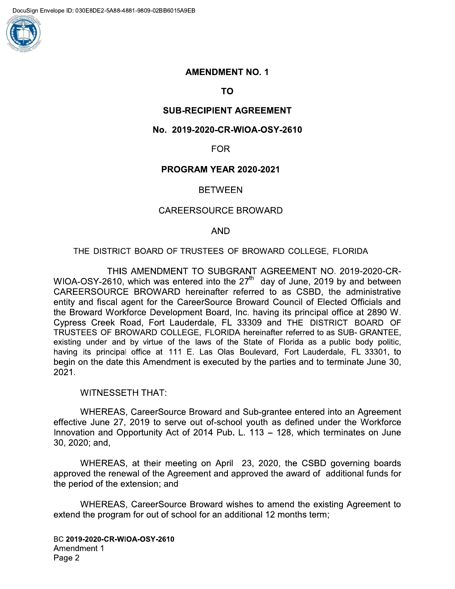

# **AMENDMENT NO. 1**

TO

# SUB-RECIPIENT AGRI

# AMENDMENT NO. 1<br>
TO<br>
SUB-RECIPIENT AGREEMENT<br>
No. 2019-2020-CR-WIOA-OSY-2610<br>
FOR<br>
PROGRAM YEAR 2020-2021<br>
BETWEEN<br>
CAREERSOURCE BROWARD No. 2019-2020-CR-WIOA-OSY-2610

# $FOR$

### $\ddotsc$ PROGRAM YEAR 2020-2021

# BEIWEEN

### $\mathbb{R}^2$ CAREERSOURCE BROWARD

### $\mathbf{r}$ AND <sub>.</sub>

# THE DISTRICT BOARD OF TRUSTEES OF BROWARD COLLEGE, FLORIDA

THIS AMENDMENT TO SUBGRANT AGREEMENT NO. 2019-2020-CR-WIOA-OSY-2610, which was entered into the  $27<sup>th</sup>$  day of June, 2019 by and between  $\overline{C}$ AREERSOURCE BROWARD nereinalter referred to as  $\overline{C}$ SBD, the administrative entity and fiscal agent for the CareerSource Broward Council of Elected Officials and the Broward Vvorkforce Development Board, Inc. having its principal office at 2890 W. FNCBBCM\*D6(DC4ICL6(4PPP9:,2+13/,\*3,-)\*1)(  $\overline{1}$ RUSTEES OF BROWARD COLLEGE, FLORIDA nereinalter referred to as SUB-GRANTEE, existing under and by virtue of the laws of the State of Florida as a public body politic, having its principal office at 111 E. Las Olas Boulevard, Fort Lauderdale, FL 33301, to begin on the date this Amendment is executed by the parties and to terminate June 30, 2021.

#### WITNESSETH THAT:

HEREAS, CareerSource Broward and Sub-grantee entered into an Agreement effective June 27, 2019 to serve out of-school youth as defined under the Workforce Innovation and Opportunity Act of 2014 Pub. L.  $113 - 128$ , which terminates on June 30, 2020; and,

 $W$ HEREAS, at their meeting on April 23, 2020, the CSBD governing boards approved the renewal of the Agreement and approved the award of additional funds for the period of the extension; and

 $\mathcal{L}$  . The set of  $\mathcal{L}$ WHEREAS, CareerSource Broward wishes to amend the existing Agreement to extend the program for out of school for an additional 12 months term;

BC 2019-2020-CR-WIOA-OSY-2610 Amendment 1 Page 2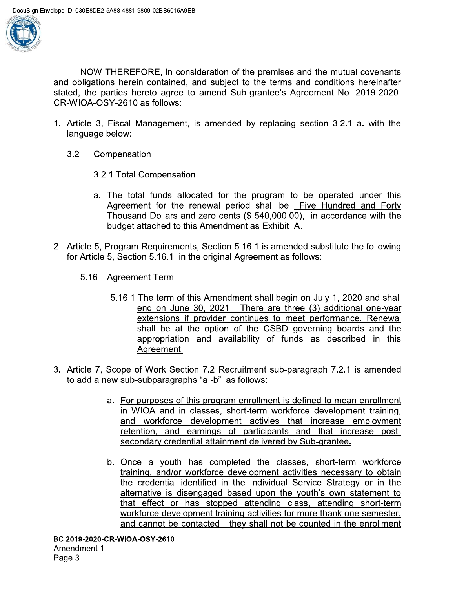

NOW THEREFORE, in consideration of the premises and the mutual covenants and obligations herein contained, and subject to the terms and conditions hereinafter stated, the parties hereto agree to amend Sub-grantee's Agreement No. 2019-2020-CR-WIOA-OSY-2610 as follows:

- 1. Article 3, Fiscal Management, is amended by replacing section 3.2.1 a. with the language below:
	- $3.2$ Compensation
		- 3.2.1 Total Compensation
		- a. The total funds allocated for the program to be operated under this Agreement for the renewal period shall be Five Hundred and Forty Thousand Dollars and zero cents  $(\$ 540,000.00)$ , in accordance with the budget attached to this Amendment as Exhibit A.
- 2. Article 5, Program Requirements, Section 5.16.1 is amended substitute the following for Article 5, Section 5.16.1 in the original Agreement as follows:
	- 5.16 Agreement Term
		- 5.16.1 The term of this Amendment shall begin on July 1, 2020 and shall end on June 30, 2021. There are three (3) additional one-year extensions if provider continues to meet performance. Renewal shall be at the option of the CSBD governing boards and the appropriation and availability of funds as described in this Agreement.
- 3. Article 7, Scope of Work Section 7.2 Recruitment sub-paragraph 7.2.1 is amended to add a new sub-subparagraphs "a -b" as follows:
	- a. For purposes of this program enrollment is defined to mean enrollment in WIOA and in classes, short-term workforce development training, and workforce development activies that increase employment retention, and earnings of participants and that increase postsecondary credential attainment delivered by Sub-grantee.
	- b. Once a youth has completed the classes, short-term workforce training, and/or workforce development activities necessary to obtain the credential identified in the Individual Service Strategy or in the alternative is disengaged based upon the youth's own statement to that effect or has stopped attending class, attending short-term workforce development training activities for more thank one semester, and cannot be contacted they shall not be counted in the enrollment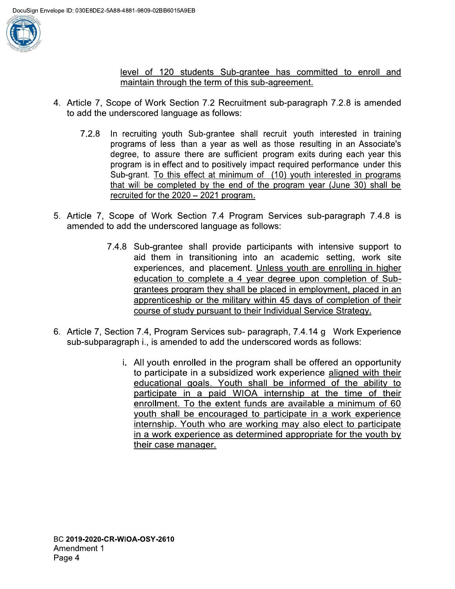

level of 120 students Sub-grantee has committed to enroll and maintain through the term of this sub-agreement.

- 4. Article 7, Scope of Work Section 7.2 Recruitment sub-paragraph 7.2.8 is amended to add the underscored language as follows:
	- $7.2.8$ In recruiting youth Sub-grantee shall recruit youth interested in training programs of less than a year as well as those resulting in an Associate's degree, to assure there are sufficient program exits during each year this program is in effect and to positively impact required performance under this Sub-grant. To this effect at minimum of (10) youth interested in programs that will be completed by the end of the program year (June 30) shall be recruited for the 2020 - 2021 program.
- 5. Article 7, Scope of Work Section 7.4 Program Services sub-paragraph 7.4.8 is amended to add the underscored language as follows:
	- 7.4.8 Sub-grantee shall provide participants with intensive support to aid them in transitioning into an academic setting, work site experiences, and placement. Unless youth are enrolling in higher education to complete a 4 year degree upon completion of Subgrantees program they shall be placed in employment, placed in an apprenticeship or the military within 45 days of completion of their course of study pursuant to their Individual Service Strategy.
- 6. Article 7, Section 7.4, Program Services sub- paragraph, 7.4.14 g Work Experience sub-subparagraph i., is amended to add the underscored words as follows:
	- i. All youth enrolled in the program shall be offered an opportunity to participate in a subsidized work experience aligned with their educational goals. Youth shall be informed of the ability to participate in a paid WIOA internship at the time of their enrollment. To the extent funds are available a minimum of 60 youth shall be encouraged to participate in a work experience internship. Youth who are working may also elect to participate in a work experience as determined appropriate for the youth by their case manager.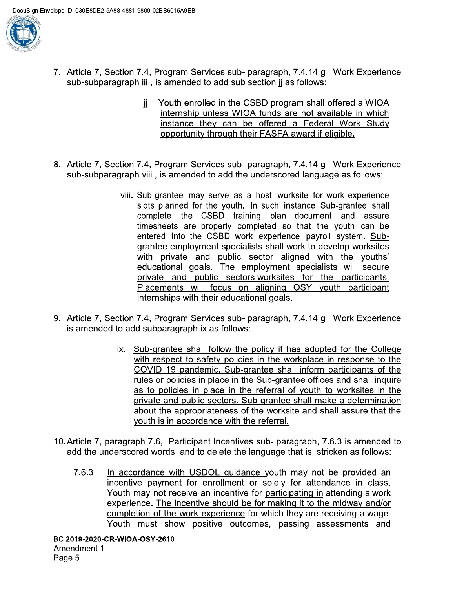

- 7. Article 7, Section 7.4, Program Services sub- paragraph, 7.4.14 g Work Experience sub-subparagraph iii.. is amended to add sub section ii as follows:
	- ji. Youth enrolled in the CSBD program shall offered a WIOA internship unless WIOA funds are not available in which instance they can be offered a Federal Work Study opportunity through their FASFA award if eligible.
- 8. Article 7, Section 7.4, Program Services sub- paragraph, 7.4.14 g Work Experience sub-subparagraph viii., is amended to add the underscored language as follows:
	- viii. Sub-grantee may serve as a host worksite for work experience slots planned for the youth. In such instance Sub-grantee shall complete the CSBD training plan document and assure timesheets are properly completed so that the youth can be entered into the CSBD work experience payroll system. Subgrantee employment specialists shall work to develop worksites with private and public sector aligned with the youths' educational goals. The employment specialists will secure private and public sectors worksites for the participants. Placements will focus on aligning OSY youth participant internships with their educational goals.
- 9. Article 7, Section 7.4, Program Services sub- paragraph, 7.4.14 g Work Experience is amended to add subparagraph ix as follows:
	- ix. Sub-grantee shall follow the policy it has adopted for the College with respect to safety policies in the workplace in response to the COVID 19 pandemic. Sub-grantee shall inform participants of the rules or policies in place in the Sub-grantee offices and shall inquire as to policies in place in the referral of youth to worksites in the private and public sectors. Sub-grantee shall make a determination about the appropriateness of the worksite and shall assure that the youth is in accordance with the referral.
- 10. Article 7, paragraph 7.6, Participant Incentives sub- paragraph, 7.6.3 is amended to add the underscored words and to delete the language that is stricken as follows:
	- 7.6.3 In accordance with USDOL guidance youth may not be provided an incentive payment for enrollment or solely for attendance in class. Youth may not receive an incentive for participating in attending a work experience. The incentive should be for making it to the midway and/or completion of the work experience for which they are receiving a wage. Youth must show positive outcomes, passing assessments and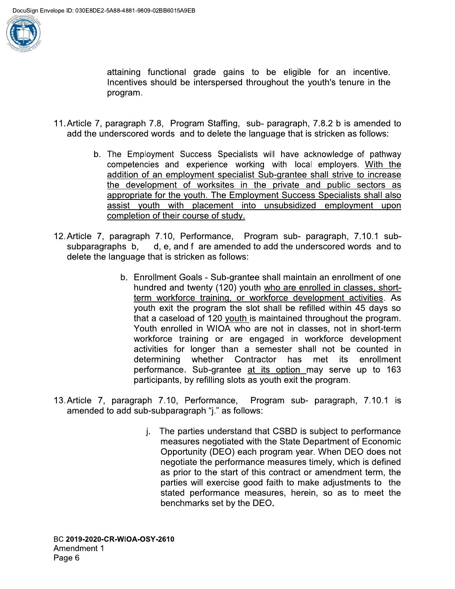

attaining functional grade gains to be eligible for an incentive. Incentives should be interspersed throughout the youth's tenure in the program.

- 11. Article 7, paragraph 7.8, Program Staffing, sub-paragraph, 7.8.2 b is amended to add the underscored words and to delete the language that is stricken as follows:
	- b. The Employment Success Specialists will have acknowledge of pathway competencies and experience working with local employers. With the addition of an employment specialist Sub-grantee shall strive to increase the development of worksites in the private and public sectors as appropriate for the youth. The Employment Success Specialists shall also assist youth with placement into unsubsidized employment upon completion of their course of study.
- 12. Article 7, paragraph 7.10, Performance, Program sub- paragraph, 7.10.1 subsubparagraphs b, d, e, and f are amended to add the underscored words and to delete the language that is stricken as follows:
	- b. Enrollment Goals Sub-grantee shall maintain an enrollment of one hundred and twenty (120) youth who are enrolled in classes, shortterm workforce training, or workforce development activities. As youth exit the program the slot shall be refilled within 45 days so that a caseload of 120 youth is maintained throughout the program. Youth enrolled in WIOA who are not in classes, not in short-term workforce training or are engaged in workforce development activities for longer than a semester shall not be counted in determining whether Contractor has met its enrollment performance. Sub-grantee at its option may serve up to 163 participants, by refilling slots as youth exit the program.
- 13. Article 7, paragraph 7.10, Performance, Program sub- paragraph, 7.10.1 is amended to add sub-subparagraph "j." as follows:
	- j. The parties understand that CSBD is subject to performance measures negotiated with the State Department of Economic Opportunity (DEO) each program year. When DEO does not negotiate the performance measures timely, which is defined as prior to the start of this contract or amendment term, the parties will exercise good faith to make adjustments to the stated performance measures, herein, so as to meet the benchmarks set by the DEO.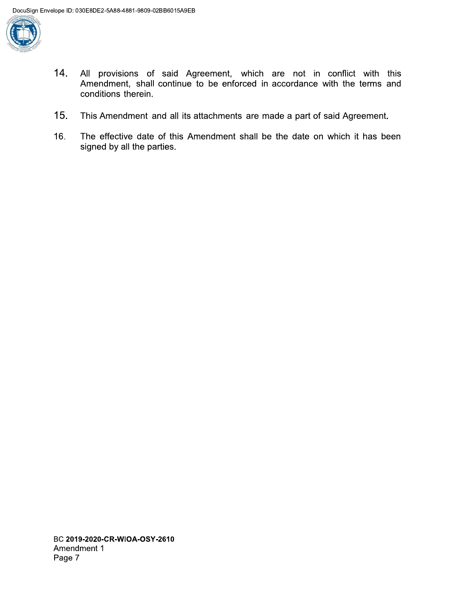

- $14.$ All provisions of said Agreement, which are not in conflict with this Amendment, shall continue to be enforced in accordance with the terms and conditions therein.
- $15.$ This Amendment and all its attachments are made a part of said Agreement.
- The effective date of this Amendment shall be the date on which it has been 16. signed by all the parties.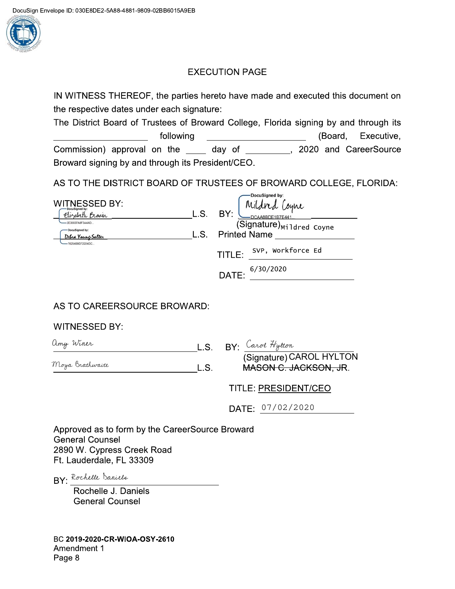

# **EXECUTION PAGE**

IN WITNESS THEREOF, the parties hereto have made and executed this document on the respective dates under each signature:

The District Board of Trustees of Broward College, Florida signing by and through its  $\begin{array}{c} \begin{array}{c} \begin{array}{c} \begin{array}{c} \end{array} \\ \end{array} \end{array} \end{array}$ (Board, following Executive, Commission) approval on the \_\_\_\_\_ day of \_\_\_\_\_\_\_\_\_, 2020 and CareerSource Broward signing by and through its President/CEO.

AS TO THE DISTRICT BOARD OF TRUSTEES OF BROWARD COLLEGE, FLORIDA:

|                                        |      | -DocuSigned by:                          |
|----------------------------------------|------|------------------------------------------|
| <b>WITNESSED BY:</b><br>DocuSigned by: |      | Mildred'<br>Coyne                        |
| Elizabeth Bravin                       | L.S. | BY:<br>$\nightharpoonup$ DCAA8BDE1B7E441 |
| 2E30037A8F3A4AD                        |      | (Signature) Mildred Coyne                |
| DocuSigned by:<br>Debra Youne-Salter   | L.S. | <b>Printed Name</b>                      |
| 76254B9D72224DC                        |      |                                          |
|                                        |      | SVP, Workforce Ed<br>TITLE:              |
|                                        |      |                                          |
|                                        |      | 6/30/2020<br>DATE:                       |
|                                        |      |                                          |

# AS TO CAREERSOURCE BROWARD:

# **WITNESSED BY:**

| amy Winer       | $L.S.$ BY: Carol Hytton  |
|-----------------|--------------------------|
|                 | (Signature) CAROL HYLTON |
| Moya Brathwaite | MASON C. JACKSON, JR.    |

# TITLE: PRESIDENT/CEO

DATE: 07/02/2020

Approved as to form by the CareerSource Broward **General Counsel** 2890 W. Cypress Creek Road Ft. Lauderdale, FL 33309

BY: Rochelle Daniels

Rochelle J. Daniels **General Counsel** 

BC 2019-2020-CR-WIOA-OSY-2610 Amendment 1 Page 8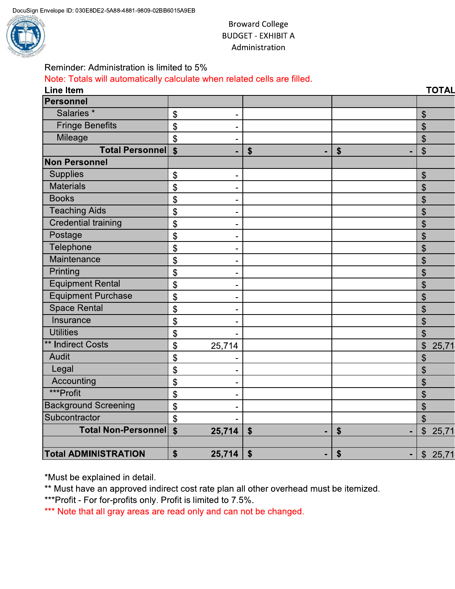

# **Broward College BUDGET - EXHIBIT A** Administration

**TOTAL** 

 $\boldsymbol{\mathsf{S}}$  $\frac{1}{2}$  $\frac{1}{2}$  $\mathcal{S}$ 

 $\boldsymbol{\mathsf{S}}$  $\sqrt{2}$  $\boldsymbol{\mathsf{S}}$  $\frac{1}{2}$  $\boldsymbol{\mathsf{S}}$  $\boldsymbol{\mathsf{S}}$  $\boldsymbol{\mathsf{S}}$  $\boldsymbol{\mathsf{S}}$  $\boldsymbol{\mathsf{S}}$  $\boldsymbol{\mathsf{S}}$  $\mathfrak{S}$ 

 $\mathfrak{S}$ 

 $\overline{\mathcal{L}}$ 

 $\mathfrak{S}$ 

 $\frac{1}{2}$ 

 $\frac{1}{2}$ 

 $\mathfrak{S}$ 

 $\mathfrak{S}$ 

 $\mathcal{S}$ 

 $\mathfrak{S}$ 

 $\mathfrak{S}$ 

 $\blacksquare$ 

 $\blacksquare$ 

 $$$  $\blacksquare$ 

 $\frac{1}{2}$ \$  $$25,71$ 

 $$25,71$ 

25,71

| Reminder: Administration is limited to 5%                                |                           |                           |    |  |
|--------------------------------------------------------------------------|---------------------------|---------------------------|----|--|
| Note: Totals will automatically calculate when related cells are filled. |                           |                           |    |  |
| <b>Line Item</b>                                                         |                           |                           |    |  |
| <b>Personnel</b>                                                         |                           |                           |    |  |
| Salaries *                                                               | $\boldsymbol{\theta}$     |                           |    |  |
| <b>Fringe Benefits</b>                                                   | \$                        |                           |    |  |
| Mileage                                                                  | $\mathfrak{S}$            |                           |    |  |
| <b>Total Personnell</b>                                                  | $\boldsymbol{\mathsf{s}}$ | $\boldsymbol{\mathsf{s}}$ | \$ |  |
| <b>Non Personnel</b>                                                     |                           |                           |    |  |
| <b>Supplies</b>                                                          | \$                        |                           |    |  |
| <b>Materials</b>                                                         | \$                        |                           |    |  |
| <b>Books</b>                                                             | \$                        |                           |    |  |
| <b>Teaching Aids</b>                                                     | \$                        |                           |    |  |
| <b>Credential training</b>                                               | \$                        |                           |    |  |
| Postage                                                                  | \$                        |                           |    |  |
| Telephone                                                                | \$                        |                           |    |  |
| Maintenance                                                              | \$                        |                           |    |  |
| Printing                                                                 | \$                        |                           |    |  |
| <b>Equipment Rental</b>                                                  | \$                        |                           |    |  |
| <b>Equipment Purchase</b>                                                | \$                        |                           |    |  |

 $\mathbf{r}$ 

 $\overline{a}$ 

 $\Box$ 

 $\Box$ 

 $\blacksquare$ 

 $\overline{a}$ 

 $\Box$ 

 $\overline{a}$ 

 $\mathbf{r}$ 

 $$$ 

 $\boldsymbol{\$}$ 

 $25,714$ 

 $25,714$ 

25,714

\*Must be explained in detail.

**Total ADMINISTRATION** 

**Total Non-Personnel** 

**Space Rental** 

\*\* Indirect Costs

Accounting

Subcontractor

**Background Screening** 

Insurance

**Utilities** 

Audit

Legal

\*\*\*Profit

\*\* Must have an approved indirect cost rate plan all other overhead must be itemized.

\*\*\*Profit - For for-profits only. Profit is limited to 7.5%.

\*\*\* Note that all gray areas are read only and can not be changed.

 $\boldsymbol{\theta}$ 

 $\boldsymbol{\mathsf{S}}$ 

 $\overline{\mathbf{S}}$ 

 $\boldsymbol{\mathsf{\$}}$ 

\$

 $\frac{1}{2}$ 

 $\frac{1}{2}$ 

 $\overline{\mathbf{S}}$ 

 $\boldsymbol{\mathsf{S}}$ 

 $\frac{1}{2}$ 

 $\boldsymbol{\mathsf{S}}$ 

 $\sqrt{2}$ 

 $\boldsymbol{\$}$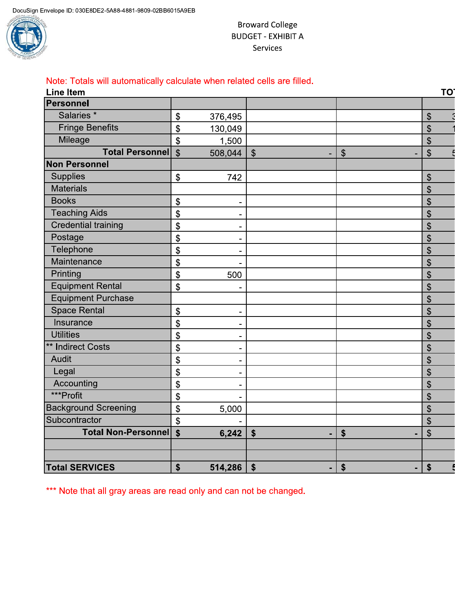

# **Broward College BUDGET - EXHIBIT A** Services

# Note: Totals will automatically calculate when related cells are filled.

| Line Item                   |                                       |                           |                           | TO                        |
|-----------------------------|---------------------------------------|---------------------------|---------------------------|---------------------------|
| <b>Personnel</b>            |                                       |                           |                           |                           |
| Salaries <sup>*</sup>       | $\boldsymbol{\mathsf{\$}}$<br>376,495 |                           |                           | \$                        |
| <b>Fringe Benefits</b>      | \$<br>130,049                         |                           |                           | $\frac{1}{2}$             |
| Mileage                     | \$                                    | 1,500                     |                           | $\mathfrak{S}$            |
| <b>Total Personnell</b>     | $\boldsymbol{\mathsf{S}}$<br>508,044  | $\boldsymbol{\mathsf{S}}$ | $\boldsymbol{\mathsf{S}}$ | $\boldsymbol{\theta}$     |
| <b>Non Personnel</b>        |                                       |                           |                           |                           |
| <b>Supplies</b>             | \$                                    | 742                       |                           | $\boldsymbol{\theta}$     |
| <b>Materials</b>            |                                       |                           |                           | $\mathfrak{S}$            |
| <b>Books</b>                | \$                                    |                           |                           | $\boldsymbol{\mathsf{S}}$ |
| <b>Teaching Aids</b>        | \$                                    | -                         |                           | \$                        |
| <b>Credential training</b>  | \$                                    |                           |                           | $\mathfrak{S}$            |
| Postage                     | \$                                    |                           |                           | \$                        |
| Telephone                   | \$                                    | -                         |                           | \$                        |
| Maintenance                 | \$                                    |                           |                           | $\boldsymbol{\mathsf{S}}$ |
| Printing                    | \$                                    | 500                       |                           | $\frac{1}{2}$             |
| Equipment Rental            | \$                                    |                           |                           | \$                        |
| <b>Equipment Purchase</b>   |                                       |                           |                           | $\mathfrak{S}$            |
| <b>Space Rental</b>         | \$                                    |                           |                           | \$                        |
| Insurance                   | \$                                    |                           |                           | \$                        |
| <b>Utilities</b>            | \$                                    | $\blacksquare$            |                           | $\mathfrak{S}$            |
| ** Indirect Costs           | \$                                    | -                         |                           | $\boldsymbol{\mathsf{S}}$ |
| Audit                       | \$                                    |                           |                           | $\boldsymbol{\theta}$     |
| Legal                       | \$                                    |                           |                           | $\frac{1}{2}$             |
| Accounting                  | \$                                    |                           |                           | \$                        |
| ***Profit                   | \$                                    |                           |                           | $\mathfrak{S}$            |
| <b>Background Screening</b> | \$                                    | 5,000                     |                           | \$                        |
| Subcontractor               | \$                                    |                           |                           | \$                        |
| <b>Total Non-Personnel</b>  | $\boldsymbol{\mathsf{s}}$             | \$<br>6,242               | \$                        | \$                        |
|                             |                                       |                           |                           |                           |
|                             |                                       |                           |                           |                           |
| <b>Total SERVICES</b>       | \$<br>514,286                         | \$<br>ä,                  | $\boldsymbol{\$}$         | \$                        |

\*\*\* Note that all gray areas are read only and can not be changed.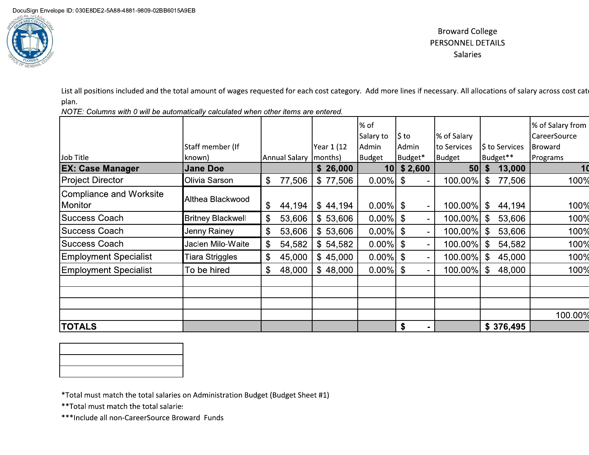

# **Broward College** PERSONNEL DETAILS Salaries

List all positions included and the total amount of wages requested for each cost category. Add more lines if necessary. All allocations of salary across cost cate plan.

NOTE: Columns with 0 will be automatically calculated when other items are entered.

|                                           |                          |               |         |            | % of<br>Salary to | l\$ to         | % of Salary     |     |                | % of Salary from<br>CareerSource |
|-------------------------------------------|--------------------------|---------------|---------|------------|-------------------|----------------|-----------------|-----|----------------|----------------------------------|
|                                           | Staff member (If         |               |         | Year 1 (12 | Admin             | Admin          | to Services     |     | \$ to Services | <b>Broward</b>                   |
| Job Title                                 | known)                   | Annual Salary | months) |            | <b>Budget</b>     | Budget*        | Budget          |     | Budget**       | Programs                         |
| <b>EX: Case Manager</b>                   | <b>Jane Doe</b>          |               |         | \$26,000   | 10 <sup>1</sup>   | \$2,600        | 50 <sub>1</sub> | \$  | 13,000         | 1 <sub>0</sub>                   |
| Project Director                          | Olivia Sarson            | \$<br>77,506  |         | \$77,506   | $0.00\%$ \$       | $\sim$         | 100.00%         | -\$ | 77,506         | 100%                             |
| <b>Compliance and Worksite</b><br>Monitor | Althea Blackwood         | \$<br>44,194  |         | \$44,194   | $0.00\%$ \$       | ۰              | 100.00%         | \$  | 44,194         | 100%                             |
| <b>Success Coach</b>                      | <b>Britney Blackwell</b> | \$<br>53,606  |         | \$53,606   | $0.00\%$ \$       | $\sim$         | 100.00%         | \$  | 53,606         | 100%                             |
| Success Coach                             | Jenny Rainey             | \$<br>53,606  |         | \$53,606   | $0.00\%$ \$       | $\blacksquare$ | 100.00%         | \$  | 53,606         | 100%                             |
| <b>Success Coach</b>                      | Jaclen Milo-Waite        | \$<br>54,582  |         | \$54,582   | $0.00\%$ \$       | $\blacksquare$ | 100.00%         | \$  | 54,582         | 100%                             |
| <b>Employment Specialist</b>              | Tiara Striggles          | \$<br>45,000  |         | \$45,000   | $0.00\%$ \$       | $\sim$         | 100.00%         | \$  | 45,000         | 100%                             |
| <b>Employment Specialist</b>              | To be hired              | \$<br>48,000  |         | \$48,000   | $0.00\%$ \$       | $\sim$         | 100.00%         | \$  | 48,000         | 100%                             |
|                                           |                          |               |         |            |                   |                |                 |     |                |                                  |
|                                           |                          |               |         |            |                   |                |                 |     |                |                                  |
|                                           |                          |               |         |            |                   |                |                 |     |                |                                  |
|                                           |                          |               |         |            |                   |                |                 |     |                | 100.00%                          |
| <b>TOTALS</b>                             |                          |               |         |            |                   | \$<br>۰        |                 |     | \$376,495      |                                  |



\*Total must match the total salaries on Administration Budget (Budget Sheet #1)

\*\* Total must match the total salaries

\*\*\* Include all non-CareerSource Broward Funds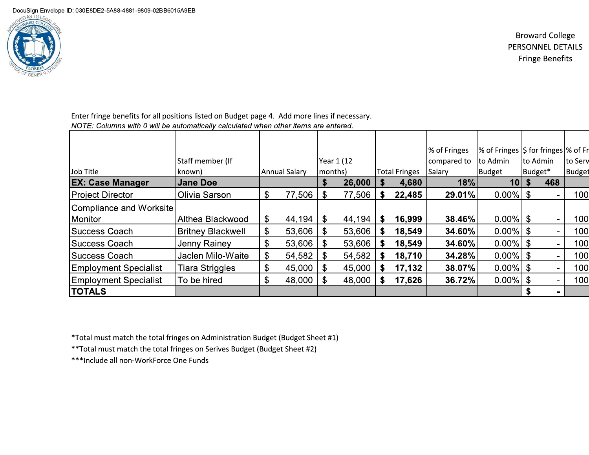DocuSign Envelope ID: 030E8DE2-5A88-4881-9809-02BB6015A9EB



**Broward College** PERSONNEL DETAILS **Fringe Benefits** 

Enter fringe benefits for all positions listed on Budget page 4. Add more lines if necessary. NOTE: Columns with 0 will be automatically calculated when other items are entered.

| Job Title                    | Staff member (If<br>known) |                       | Annual Salary | months) | Year 1 (12 |    | <b>Total Fringes</b> | % of Fringes<br>compared to<br>Salary | % of Fringes S for fringes \% of Fr<br>to Admin<br>Budget | Budget* | to Admin                 | to Serv<br>Budget |
|------------------------------|----------------------------|-----------------------|---------------|---------|------------|----|----------------------|---------------------------------------|-----------------------------------------------------------|---------|--------------------------|-------------------|
| <b>EX: Case Manager</b>      | <b>Jane Doe</b>            |                       |               | \$      | 26,000     |    | 4,680                | 18%                                   | 10                                                        |         | 468                      |                   |
| <b>Project Director</b>      | Olivia Sarson              | \$                    | 77,506        | \$      | 77,506     | S. | 22,485               | <b>29.01%</b>                         | $0.00\%$ \$                                               |         |                          | 100               |
| Compliance and Worksite      |                            |                       |               |         |            |    |                      |                                       |                                                           |         |                          |                   |
| Monitor                      | Althea Blackwood           | \$                    | 44,194        | \$.     | 44,194     | S. | 16,999               | 38.46%                                | $0.00\%$   \$                                             |         | $\overline{\phantom{a}}$ | 100               |
| <b>Success Coach</b>         | <b>Britney Blackwell</b>   | $\boldsymbol{\theta}$ | 53,606        |         | 53,606     | S. | 18,549               | 34.60%                                | $0.00\%$ \$                                               |         | $\blacksquare$           | 100               |
| <b>Success Coach</b>         | Jenny Rainey               | \$                    | 53,606        | \$.     | 53,606     | S. | 18,549               | <b>34.60%</b>                         | $0.00\%$ \$                                               |         | $\sim$                   | 100               |
| Success Coach                | Jaclen Milo-Waite          | \$                    | 54,582        | S.      | 54,582     | S. | 18,710               | 34.28%                                | $0.00\%$ \$                                               |         | $\blacksquare$           | 100               |
| <b>Employment Specialist</b> | <b>Tiara Striggles</b>     | \$                    | 45,000        |         | 45,000     |    | 17,132               | 38.07%                                | $0.00\%$ \$                                               |         | $\blacksquare$           | 100               |
| <b>Employment Specialist</b> | To be hired                | \$                    | 48,000        |         | 48,000     |    | 17,626               | 36.72%                                | $0.00\%$ \$                                               |         | $\overline{\phantom{0}}$ | 100               |
| <b>TOTALS</b>                |                            |                       |               |         |            |    |                      |                                       |                                                           |         |                          |                   |

\*Total must match the total fringes on Administration Budget (Budget Sheet #1)

\*\* Total must match the total fringes on Serives Budget (Budget Sheet #2)

\*\*\*Include all non-WorkForce One Funds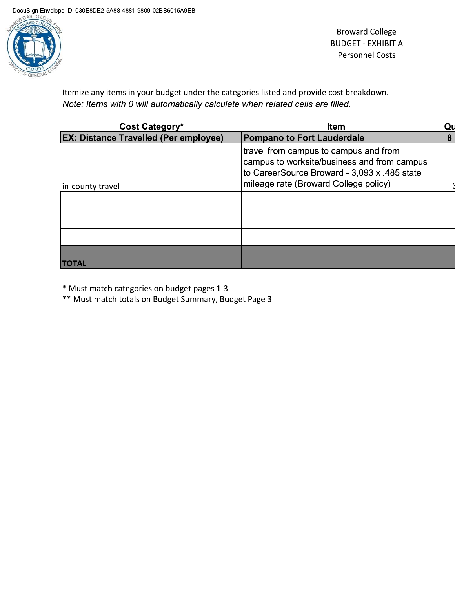

**Broward College BUDGET - EXHIBIT A Personnel Costs** 

Itemize any items in your budget under the categories listed and provide cost breakdown. Note: Items with 0 will automatically calculate when related cells are filled.

| Cost Category*                               | <b>Item</b>                                                                                                                                                                   |   |
|----------------------------------------------|-------------------------------------------------------------------------------------------------------------------------------------------------------------------------------|---|
| <b>EX: Distance Travelled (Per employee)</b> | <b>Pompano to Fort Lauderdale</b>                                                                                                                                             | 8 |
| in-county travel                             | travel from campus to campus and from<br>campus to worksite/business and from campus<br>to CareerSource Broward - 3,093 x .485 state<br>mileage rate (Broward College policy) |   |
|                                              |                                                                                                                                                                               |   |
|                                              |                                                                                                                                                                               |   |
| <b>AL</b>                                    |                                                                                                                                                                               |   |

\* Must match categories on budget pages 1-3

\*\* Must match totals on Budget Summary, Budget Page 3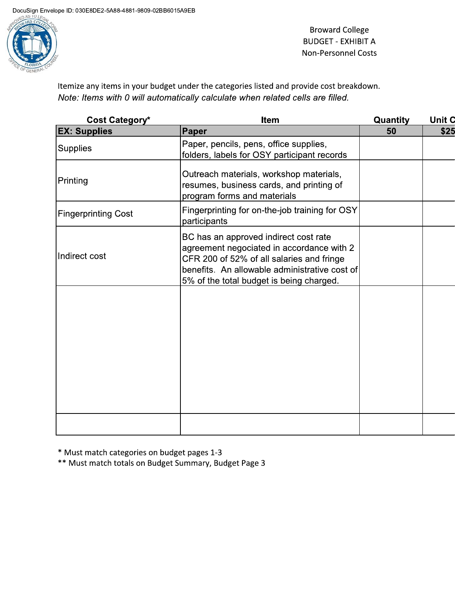

**Broward College BUDGET - EXHIBIT A Non-Personnel Costs** 

Itemize any items in your budget under the categories listed and provide cost breakdown. Note: Items with 0 will automatically calculate when related cells are filled.

| Cost Category*             | Item                                                                                                                                                                                                                         | Quantity | Unit C |
|----------------------------|------------------------------------------------------------------------------------------------------------------------------------------------------------------------------------------------------------------------------|----------|--------|
| <b>EX: Supplies</b>        | Paper                                                                                                                                                                                                                        | 50       | \$25   |
| <b>Supplies</b>            | Paper, pencils, pens, office supplies,<br>folders, labels for OSY participant records                                                                                                                                        |          |        |
| Printing                   | Outreach materials, workshop materials,<br>resumes, business cards, and printing of<br>program forms and materials                                                                                                           |          |        |
| <b>Fingerprinting Cost</b> | Fingerprinting for on-the-job training for OSY<br>participants                                                                                                                                                               |          |        |
| Indirect cost              | BC has an approved indirect cost rate<br>agreement negociated in accordance with 2<br>CFR 200 of 52% of all salaries and fringe<br>benefits. An allowable administrative cost of<br>5% of the total budget is being charged. |          |        |
|                            |                                                                                                                                                                                                                              |          |        |
|                            |                                                                                                                                                                                                                              |          |        |

\* Must match categories on budget pages 1-3

\*\* Must match totals on Budget Summary, Budget Page 3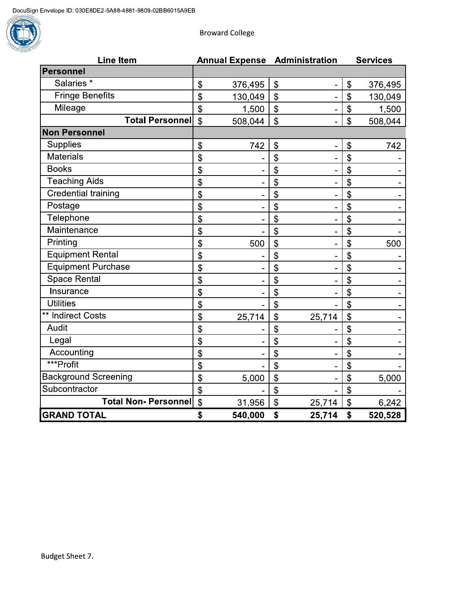

**Broward College** 

| <b>Line Item</b>            |                            |         |                           | <b>Annual Expense Administration</b> | <b>Services</b>    |         |
|-----------------------------|----------------------------|---------|---------------------------|--------------------------------------|--------------------|---------|
| Personnel                   |                            |         |                           |                                      |                    |         |
| Salaries <sup>*</sup>       | $\boldsymbol{\mathsf{S}}$  | 376,495 | $\boldsymbol{\theta}$     | $\qquad \qquad \blacksquare$         | \$                 | 376,495 |
| <b>Fringe Benefits</b>      | \$                         | 130,049 | $\boldsymbol{\mathsf{S}}$ |                                      | \$                 | 130,049 |
| Mileage                     | $\boldsymbol{\mathsf{S}}$  | 1,500   | $\frac{1}{2}$             | $\overline{a}$                       | \$                 | 1,500   |
| <b>Total Personnel</b>      | $\mathfrak{S}$             | 508,044 | $\mathbf{\hat{S}}$        |                                      | $\mathbf{\hat{S}}$ | 508,044 |
| <b>Non Personnel</b>        |                            |         |                           |                                      |                    |         |
| <b>Supplies</b>             | $\boldsymbol{\theta}$      | 742     | \$                        | $\overline{\phantom{a}}$             | \$                 | 742     |
| <b>Materials</b>            | \$                         |         | \$                        |                                      | \$                 |         |
| <b>Books</b>                | \$                         |         | \$                        |                                      | \$                 |         |
| <b>Teaching Aids</b>        | \$                         |         | \$                        |                                      | \$                 |         |
| <b>Credential training</b>  | \$                         |         | \$                        |                                      | \$                 |         |
| Postage                     | \$                         |         | \$                        |                                      | \$                 |         |
| Telephone                   | \$                         |         | \$                        |                                      | \$                 |         |
| Maintenance                 | \$                         |         | \$                        |                                      | \$                 |         |
| Printing                    | \$                         | 500     | \$                        |                                      | \$                 | 500     |
| <b>Equipment Rental</b>     | \$                         |         | \$                        |                                      | \$                 |         |
| <b>Equipment Purchase</b>   | \$                         |         | \$                        |                                      | \$                 |         |
| <b>Space Rental</b>         | \$                         |         | \$                        |                                      | \$                 |         |
| Insurance                   | \$                         |         | \$                        |                                      | \$                 |         |
| <b>Utilities</b>            | \$                         |         | $\mathfrak{S}$            |                                      | \$                 |         |
| ** Indirect Costs           | \$                         | 25,714  | \$                        | 25,714                               | \$                 |         |
| Audit                       | \$                         |         | \$                        |                                      | \$                 |         |
| Legal                       | \$                         |         | \$                        |                                      | \$                 |         |
| Accounting                  | \$                         |         | \$                        |                                      | \$                 |         |
| ***Profit                   | \$                         |         | \$                        | ÷                                    | $\mathbf{\hat{S}}$ |         |
| <b>Background Screening</b> | \$                         | 5,000   | \$                        |                                      | \$                 | 5,000   |
| Subcontractor               | $\boldsymbol{\mathsf{\$}}$ |         | \$                        |                                      | \$                 |         |
| <b>Total Non- Personnel</b> | $\mathsf{\$}$              | 31,956  | \$                        | 25,714                               | \$                 | 6,242   |
| <b>GRAND TOTAL</b>          | \$                         | 540,000 | \$                        | 25,714                               | \$                 | 520,528 |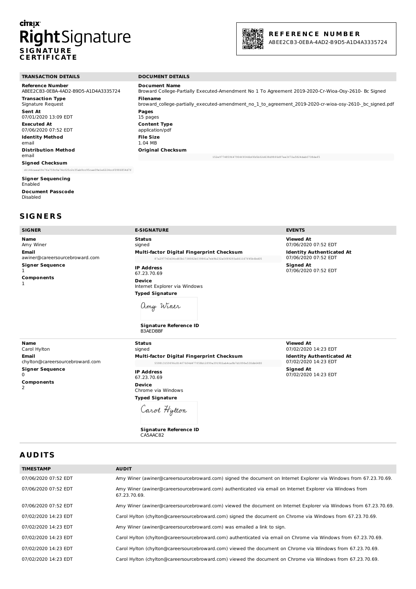# **CİTRIX S IG N AT U R E C E RT IF I C AT E**



# **R E F E R E N C E N U M B E R**

ABEE2CB3-0EBA-4AD2-B9D5-A1D4A3335724

| <b>TRANSACTION DETAILS</b>           | <b>DOCUMENT DETAILS</b>                                                                                  |
|--------------------------------------|----------------------------------------------------------------------------------------------------------|
| <b>Reference Number</b>              | <b>Document Name</b>                                                                                     |
| ABEE2CB3-0EBA-4AD2-B9D5-A1D4A3335724 | Broward College-Partially Executed-Amendment No 1 To Agreement 2019-2020-Cr-Wioa-Osy-2610- Bc Signed     |
| <b>Transaction Type</b>              | <b>Filename</b>                                                                                          |
| Signature Request                    | broward college-partially executed-amendment no 1 to agreement 2019-2020-cr-wioa-osy-2610- bc signed.pdf |
| <b>Sent At</b>                       | Pages                                                                                                    |
| 07/01/2020 13:09 EDT                 | 15 pages                                                                                                 |
| <b>Executed At</b>                   | <b>Content Type</b>                                                                                      |
| 07/06/2020 07:52 EDT                 | application/pdf                                                                                          |
| <b>Identity Method</b>               | <b>File Size</b>                                                                                         |
| email                                | 1.04 MB                                                                                                  |
| <b>Distribution Method</b>           | <b>Original Checksum</b>                                                                                 |
| email                                | 152e9774859647904ff046bffb5b02d638d98f6d97ee3f72a5824dab0738def5                                         |
| <b>Signed Checksum</b>               |                                                                                                          |

d1146caea09c7fa759c9a74cf25c2c35ab9cc95cae09e1e6224ccf0986854d7f

**Signer Sequencing** Enabled **Document Passcode** Disabled

#### **S IG N E R S**

| <b>SIGNER</b>                                                                                                      | <b>E-SIGNATURE</b>                                                                                                                                                                                                                                                                                                        | <b>EVENTS</b>                                                                                                                                    |
|--------------------------------------------------------------------------------------------------------------------|---------------------------------------------------------------------------------------------------------------------------------------------------------------------------------------------------------------------------------------------------------------------------------------------------------------------------|--------------------------------------------------------------------------------------------------------------------------------------------------|
| <b>Name</b><br>Amy Winer<br><b>Email</b><br>awiner@careersourcebroward.com<br><b>Signer Sequence</b><br>Components | <b>Status</b><br>signed<br>Multi-factor Digital Fingerprint Checksum<br>87a297743d34cd83b1738082b039841a7eb9b232a0f89293a661167f45b6bd05<br><b>IP Address</b><br>67.23.70.69<br><b>Device</b><br>Internet Explorer via Windows<br><b>Typed Signature</b><br>amy Winer<br><b>Signature Reference ID</b><br><b>B3AEDBBF</b> | <b>Viewed At</b><br>07/06/2020 07:52 EDT<br><b>Identity Authenticated At</b><br>07/06/2020 07:52 EDT<br><b>Signed At</b><br>07/06/2020 07:52 EDT |
| <b>Name</b>                                                                                                        | <b>Status</b>                                                                                                                                                                                                                                                                                                             | <b>Viewed At</b>                                                                                                                                 |
| Carol Hylton                                                                                                       | signed                                                                                                                                                                                                                                                                                                                    | 07/02/2020 14:23 EDT                                                                                                                             |
| Email                                                                                                              | Multi-factor Digital Fingerprint Checksum                                                                                                                                                                                                                                                                                 | <b>Identity Authenticated At</b>                                                                                                                 |
| chylton@careersourcebroward.com                                                                                    | 559813159f96c814f76f4d477f58b12f99a391902ab4ca9b7d189fe530db6480                                                                                                                                                                                                                                                          | 07/02/2020 14:23 EDT                                                                                                                             |
| Classics Constantino                                                                                               |                                                                                                                                                                                                                                                                                                                           | <b>Clara and An</b>                                                                                                                              |

**Signer Sequence** 0

**Components** 2

**IP Address** 67.23.70.69 **Device** Chrome via Windows **Typed Signature**

CA5AAC82

Carol Hytton

**Signature Reference ID** 

**Signed At** 07/02/2020 14:23 EDT

# **A UD ITS**

| <b>TIMESTAMP</b>     | <b>AUDIT</b>                                                                                                             |
|----------------------|--------------------------------------------------------------------------------------------------------------------------|
| 07/06/2020 07:52 EDT | Amy Winer (awiner@careersourcebroward.com) signed the document on Internet Explorer via Windows from 67.23.70.69.        |
| 07/06/2020 07:52 EDT | Amy Winer (awiner@careersourcebroward.com) authenticated via email on Internet Explorer via Windows from<br>67.23.70.69. |
| 07/06/2020 07:52 EDT | Amy Winer (awiner@careersourcebroward.com) viewed the document on Internet Explorer via Windows from 67.23.70.69.        |
| 07/02/2020 14:23 EDT | Carol Hylton (chylton@careersourcebroward.com) signed the document on Chrome via Windows from 67.23.70.69.               |
| 07/02/2020 14:23 EDT | Amy Winer (awiner@careersourcebroward.com) was emailed a link to sign.                                                   |
| 07/02/2020 14:23 EDT | Carol Hylton (chylton@careersourcebroward.com) authenticated via email on Chrome via Windows from 67.23.70.69.           |
| 07/02/2020 14:23 EDT | Carol Hylton (chylton@careersourcebroward.com) viewed the document on Chrome via Windows from 67.23.70.69.               |
| 07/02/2020 14:23 EDT | Carol Hylton (chylton@careersourcebroward.com) viewed the document on Chrome via Windows from 67.23.70.69.               |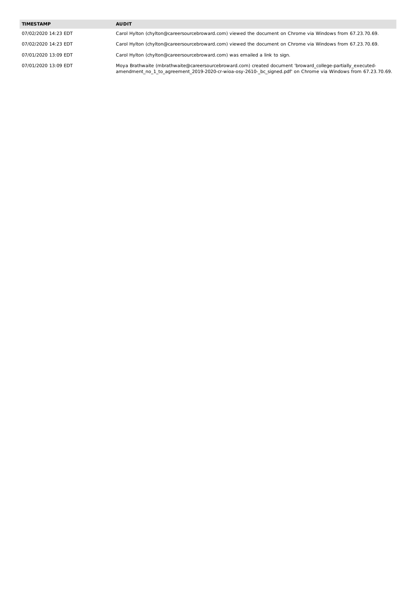#### **TIMESTAMP AUDIT**

07/02/2020 14:23 EDT Carol Hylton (chylton@careersourcebroward.com) viewed the document on Chrome via Windows from 67.23.70.69.

07/02/2020 14:23 EDT Carol Hylton (chylton@careersourcebroward.com) viewed the document on Chrome via Windows from 67.23.70.69.

07/01/2020 13:09 EDT Carol Hylton (chylton@careersourcebroward.com) was emailed a link to sign.

07/01/2020 13:09 EDT Moya Brathwaite (mbrathwaite@careersourcebroward.com) created document 'broward\_college-partially\_executedamendment\_no\_1\_to\_agreement\_2019-2020-cr-wioa-osy-2610-\_bc\_signed.pdf' on Chrome via Windows from 67.23.70.69.